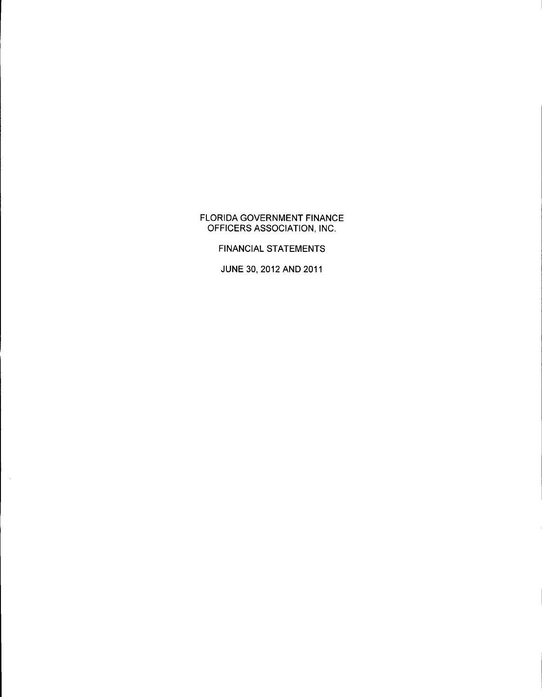### FLORIDA GOVERNMENT FINANCE OFFICERS ASSOCIATION, INC.

FINANCIAL STATEMENTS

JUNE 30, 2012 AND 2011

 $\mathcal{L}^{\mathcal{L}}$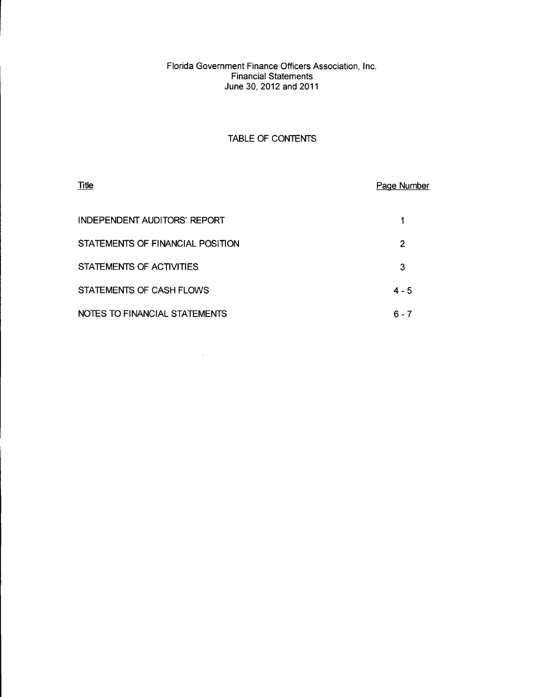### Florida Government Finance Officers Association, Inc. Financial Statements June 30,2012 and 2011

### TABLE OF CONTENTS

| <b>Title</b>                        | Page Number |
|-------------------------------------|-------------|
| <b>INDEPENDENT AUDITORS' REPORT</b> |             |
| STATEMENTS OF FINANCIAL POSITION    | 2           |
| STATEMENTS OF ACTIVITIES            | 3           |
| STATEMENTS OF CASH FLOWS            | $4 - 5$     |
| NOTES TO FINANCIAL STATEMENTS       | 6 - 7       |

 $\sim$   $\sim$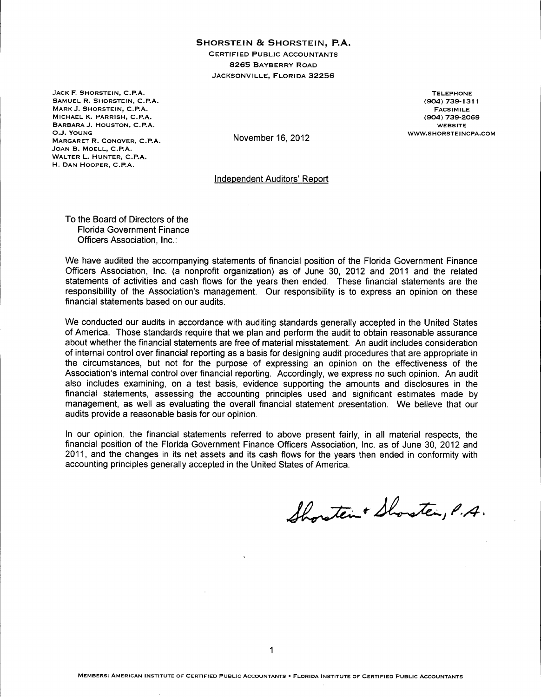#### **SHORSTEIN Be SHORSTEIN, P.A.**

CERTIFIED PUBLIC ACCOUNTANTS 8265 BAYBERRY ROAD JACKSONVILLE, FLORIDA 32256

JACK F. SHORSTEIN, C.P.A. SAMUEL R. SHORSTEIN, C.P.A. MARK J. SHORSTEIN, C.P.A. MICHAEL K. PARRISH, C.P.A. BARBARA J. HOUSTON, C.P.A. O.J. YOUNG MARGARET R. CONOVER, C.P.A. JOAN B. MOELL, C.P.A. WALTER L. HUNTER, C.P.A. H. DAN HOOPER, C.P.A.

TELEPHONE (904) 739-1311 FACSIMILE (904) 739-2069 WEBSITE WWW.SHORSTEINCPA.COM

November 16,2012

Independent Auditors' Report

To the Board of Directors of the Florida Government Finance Officers Association, Inc.:

We have audited the accompanying statements of financial position of the Florida Government Finance Officers Association, Inc. (a nonprofit organization) as of June 30, 2012 and 2011 and the related statements of activities and cash flows for the years then ended. These financial statements are the responsibility of the Association's management. Our responsibility is to express an opinion on these financial statements based on our audits.

We conducted our audits in accordance with auditing standards generally accepted in the United States of America. Those standards require that we plan and perform the audit to obtain reasonable assurance about whether the financial statements are free of material misstatement. An audit includes consideration of internal control over financial reporting as a basis for designing audit procedures that are appropriate in the circumstances, but not for the purpose of expressing an opinion on the effectiveness of the Association's internal control over financial reporting. Accordingly, we express no such opinion. An audit also includes examining, on a test basis, evidence supporting the amounts and disclosures in the financial statements, assessing the accounting principles used and significant estimates made by management, as well as evaluating the overall financial statement presentation. We believe that our audits provide a reasonable basis for our opinion.

In our opinion, the financial statements referred to above present fairly, in all material respects, the financial position of the Florida Government Finance Officers Association, Inc. as of June 30, 2012 and 2011, and the changes in its net assets and its cash flows for the years then ended in conformity with accounting principles generally accepted in the United States of America.

Shoraten + Shoraten, P.A.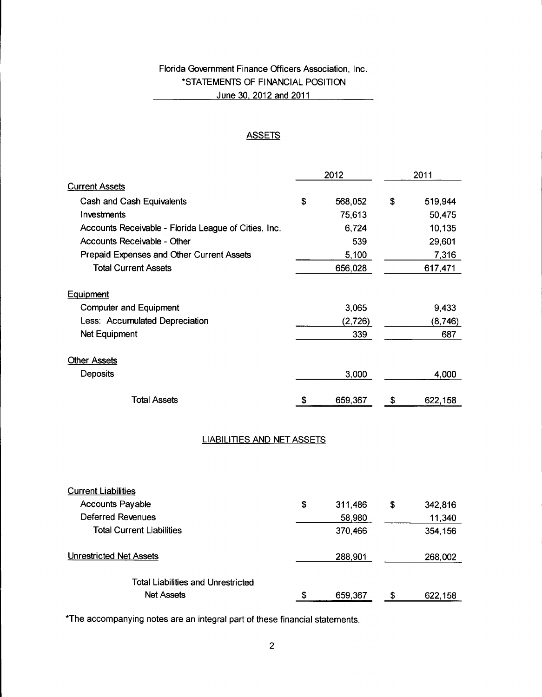# Florida Government Finance Officers Association, Inc. \*STATEMENTS OF FINANCIAL POSITION June 30,2012 and 2011

### **ASSETS**

|                                                      | 2012 |         | 2011 |         |
|------------------------------------------------------|------|---------|------|---------|
| <b>Current Assets</b>                                |      |         |      |         |
| Cash and Cash Equivalents                            | \$   | 568,052 | \$   | 519,944 |
| Investments                                          |      | 75,613  |      | 50,475  |
| Accounts Receivable - Florida League of Cities, Inc. |      | 6,724   |      | 10,135  |
| Accounts Receivable - Other                          |      | 539     |      | 29,601  |
| Prepaid Expenses and Other Current Assets            |      | 5,100   |      | 7,316   |
| <b>Total Current Assets</b>                          |      | 656,028 |      | 617,471 |
| <b>Equipment</b>                                     |      |         |      |         |
| <b>Computer and Equipment</b>                        |      | 3,065   |      | 9,433   |
| Less: Accumulated Depreciation                       |      | (2,726) |      | (8,746) |
| Net Equipment                                        |      | 339     |      | 687     |
| <b>Other Assets</b>                                  |      |         |      |         |
| Deposits                                             |      | 3,000   |      | 4,000   |
| <b>Total Assets</b>                                  | \$   | 659,367 | \$   | 622,158 |

### LIABILITIES AND NET ASSETS

| <b>Current Liabilities</b>                |    |         |    |         |
|-------------------------------------------|----|---------|----|---------|
| <b>Accounts Payable</b>                   | \$ | 311,486 | \$ | 342,816 |
| Deferred Revenues                         |    | 58,980  |    | 11,340  |
| <b>Total Current Liabilities</b>          |    | 370,466 |    | 354,156 |
| Unrestricted Net Assets                   |    | 288,901 |    | 268,002 |
| <b>Total Liabilities and Unrestricted</b> |    |         |    |         |
| <b>Net Assets</b>                         | £. | 659,367 | S  | 622,158 |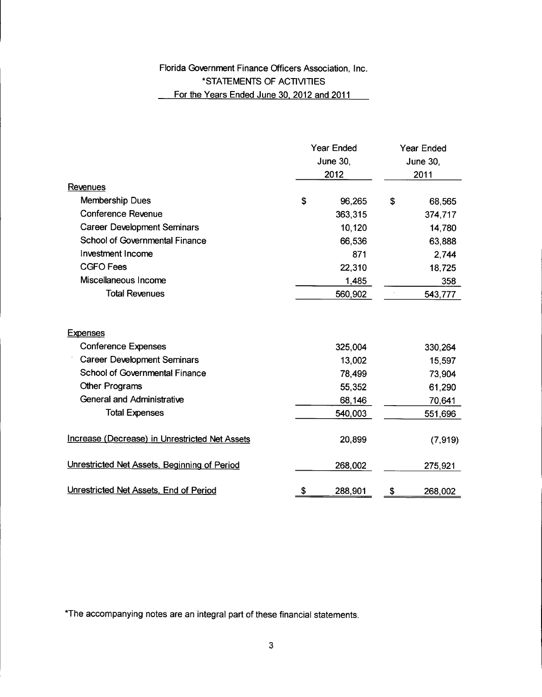# Florida Government Finance Officers Association, Inc. \*STATEMENTS OF ACTIVITIES For the Years Ended June 30, 2012 and 2011

|                                                       | <b>Year Ended</b><br><b>June 30,</b><br>2012 |         | <b>Year Ended</b><br>June 30,<br>2011 |          |
|-------------------------------------------------------|----------------------------------------------|---------|---------------------------------------|----------|
| <b>Revenues</b>                                       |                                              |         |                                       |          |
| <b>Membership Dues</b>                                | \$                                           | 96,265  | \$                                    | 68,565   |
| <b>Conference Revenue</b>                             |                                              | 363,315 |                                       | 374,717  |
| <b>Career Development Seminars</b>                    |                                              | 10,120  |                                       | 14,780   |
| <b>School of Governmental Finance</b>                 |                                              | 66,536  |                                       | 63,888   |
| <b>Investment Income</b>                              |                                              | 871     |                                       | 2,744    |
| <b>CGFO Fees</b>                                      |                                              | 22,310  |                                       | 18,725   |
| Miscellaneous Income                                  |                                              | 1,485   |                                       | 358      |
| <b>Total Revenues</b>                                 |                                              | 560,902 |                                       | 543,777  |
| <b>Expenses</b>                                       |                                              |         |                                       |          |
| <b>Conference Expenses</b>                            |                                              | 325,004 |                                       | 330,264  |
| <b>Career Development Seminars</b>                    |                                              | 13,002  |                                       | 15,597   |
| School of Governmental Finance                        |                                              | 78,499  |                                       | 73,904   |
| Other Programs                                        |                                              | 55,352  |                                       | 61,290   |
| <b>General and Administrative</b>                     |                                              | 68,146  |                                       | 70,641   |
| <b>Total Expenses</b>                                 |                                              | 540,003 |                                       | 551,696  |
| <b>Increase (Decrease) in Unrestricted Net Assets</b> |                                              | 20,899  |                                       | (7, 919) |
| Unrestricted Net Assets, Beginning of Period          |                                              | 268,002 |                                       | 275,921  |
| Unrestricted Net Assets, End of Period                | \$                                           | 288,901 | Ş                                     | 268,002  |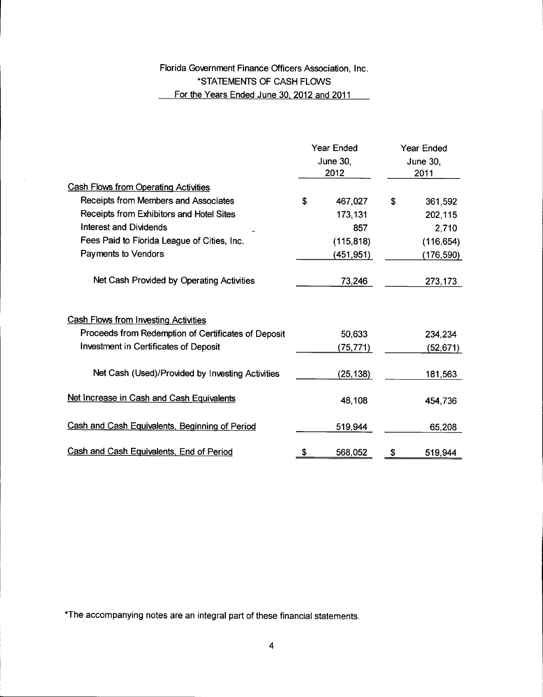# Florida Government Finance Officers Association, Inc. \*STATEMENTS OF CASH FLOWS For the Years Ended June 30, 2012 and 2011

 $\mathcal{L}^{\mathcal{L}}$ 

|                                                     | <b>Year Ended</b><br>June 30,<br>2012 |                  | <b>Year Ended</b><br><b>June 30.</b><br>2011 |            |
|-----------------------------------------------------|---------------------------------------|------------------|----------------------------------------------|------------|
|                                                     |                                       |                  |                                              |            |
| <b>Cash Flows from Operating Activities</b>         |                                       |                  |                                              |            |
| Receipts from Members and Associates                | \$                                    | 467,027          | \$                                           | 361,592    |
| Receipts from Exhibitors and Hotel Sites            |                                       | 173,131          |                                              | 202,115    |
| <b>Interest and Dividends</b>                       |                                       | 857              |                                              | 2,710      |
| Fees Paid to Florida League of Cities, Inc.         |                                       | (115, 818)       |                                              | (116, 654) |
| Payments to Vendors                                 |                                       | <u>(451,951)</u> |                                              | (176,590)  |
| Net Cash Provided by Operating Activities           |                                       | 73,246           |                                              | 273,173    |
| <b>Cash Flows from Investing Activities</b>         |                                       |                  |                                              |            |
| Proceeds from Redemption of Certificates of Deposit |                                       | 50,633           |                                              | 234,234    |
| Investment in Certificates of Deposit               |                                       | (75,771).        |                                              | (52,671)   |
| Net Cash (Used)/Provided by Investing Activities    |                                       | (25, 138)        |                                              | 181,563    |
| Net Increase in Cash and Cash Equivalents           |                                       | 48,108           |                                              | 454,736    |
| Cash and Cash Equivalents, Beginning of Period      |                                       | 519,944          |                                              | 65,208     |
| Cash and Cash Equivalents, End of Period            | \$                                    | 568,052          | \$                                           | 519,944    |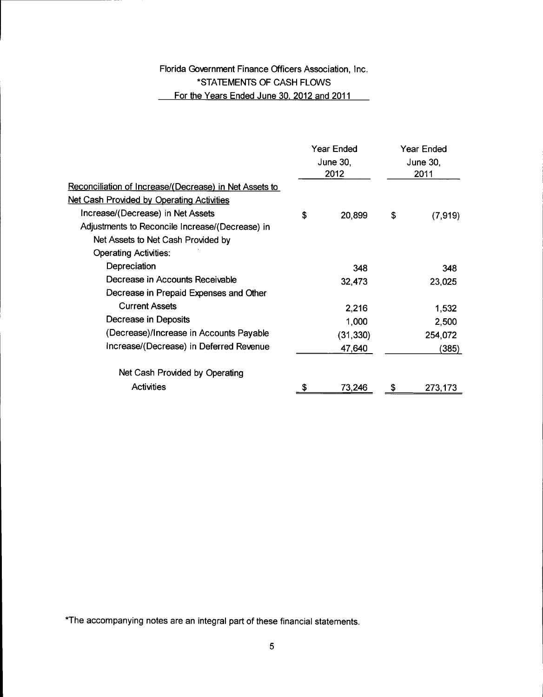# Florida Government Finance Officers Association, Inc. \*STATEMENTS OF CASH FLOWS For the Years Ended June 30, 2012 and 2011

|                                                        | <b>Year Ended</b> |                  | Year Ended |                  |  |
|--------------------------------------------------------|-------------------|------------------|------------|------------------|--|
|                                                        |                   | June 30,<br>2012 |            | June 30,<br>2011 |  |
| Reconciliation of Increase/(Decrease) in Net Assets to |                   |                  |            |                  |  |
| Net Cash Provided by Operating Activities              |                   |                  |            |                  |  |
| Increase/(Decrease) in Net Assets                      | \$                | 20,899           | \$         | (7,919)          |  |
| Adjustments to Reconcile Increase/(Decrease) in        |                   |                  |            |                  |  |
| Net Assets to Net Cash Provided by                     |                   |                  |            |                  |  |
| <b>Operating Activities:</b>                           |                   |                  |            |                  |  |
| Depreciation                                           |                   | 348              |            | 348              |  |
| Decrease in Accounts Receivable                        |                   | 32,473           |            | 23,025           |  |
| Decrease in Prepaid Expenses and Other                 |                   |                  |            |                  |  |
| <b>Current Assets</b>                                  |                   | 2,216            |            | 1,532            |  |
| Decrease in Deposits                                   |                   | 1,000            |            | 2,500            |  |
| (Decrease)/Increase in Accounts Payable                |                   | (31, 330)        |            | 254,072          |  |
| Increase/(Decrease) in Deferred Revenue                |                   | 47,640           |            | (385)            |  |
| Net Cash Provided by Operating                         |                   |                  |            |                  |  |
| <b>Activities</b>                                      |                   | 73,246           | \$         | 273,173          |  |
|                                                        |                   |                  |            |                  |  |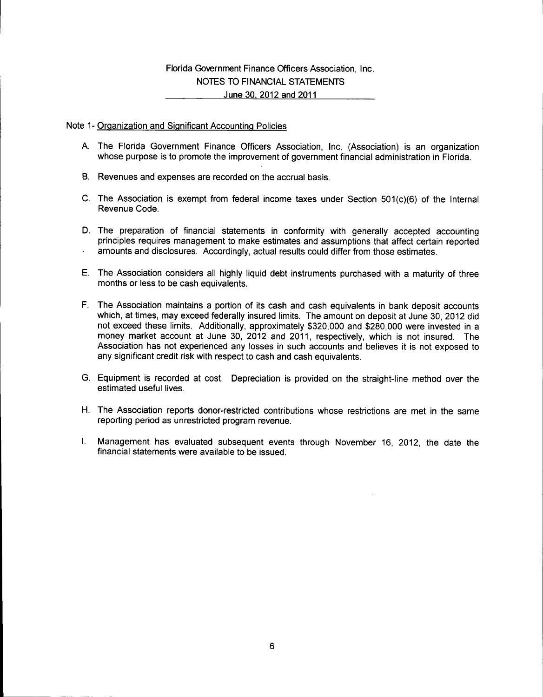### Florida Government Finance Officers Association, Inc. NOTES TO FINANCIAL STATEMENTS June 30, 2012 and 2011

### Note 1- Organization and Significant Accounting Policies

- A. The Florida Government Finance Officers Association, Inc. (Association) is an organization whose purpose is to promote the improvement of government financial administration in Florida.
- B. Revenues and expenses are recorded on the accrual basis.
- C. The Association is exempt from federal income taxes under Section 501(c)(6) of the Internal Revenue Code.
- D. The preparation of financial statements in conformity with generally accepted accounting principles requires management to make estimates and assumptions that affect certain reported amounts and disclosures. Accordingly, actual results could differ from those estimates.
- E. The Association considers all highly liquid debt instruments purchased with a maturity of three months or less to be cash equivalents.
- F. The Association maintains a portion of its cash and cash equivalents in bank deposit accounts which, at times, may exceed federally insured limits. The amount on deposit at June 30, 2012 did not exceed these limits. Additionally, approximately \$320,000 and \$280,000 were invested in a money market account at June 30, 2012 and 2011, respectively, which is not insured. The Association has not experienced any losses in such accounts and believes it is not exposed to any significant credit risk with respect to cash and cash equivalents.
- G. Equipment is recorded at cost. Depreciation is provided on the straight-line method over the estimated useful lives.
- H. The Association reports donor-restricted contributions whose restrictions are met in the same reporting period as unrestricted program revenue.
- I. Management has evaluated subsequent events through November 16, 2012, the date the financial statements were available to be issued.